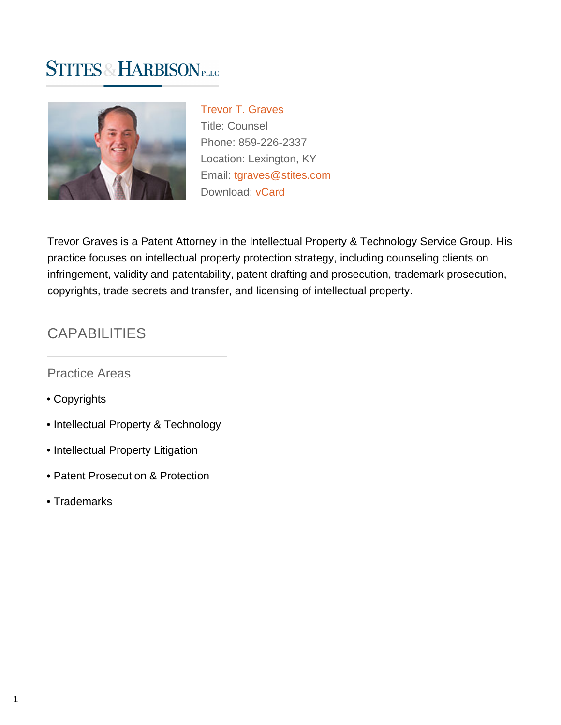# **STITES & HARBISON PLLC**



[Trevor T. Graves](https://www.stites.com/attorneys/trevor-graves) Title: Counsel Phone: 859-226-2337 Location: Lexington, KY Email: [tgraves@stites.com](mailto:tgraves@stites.com) Download: [vCard](https://www.stites.com/vcard/trevor-graves)

Trevor Graves is a Patent Attorney in the Intellectual Property & Technology Service Group. His practice focuses on intellectual property protection strategy, including counseling clients on infringement, validity and patentability, patent drafting and prosecution, trademark prosecution, copyrights, trade secrets and transfer, and licensing of intellectual property.

### **CAPABILITIES**

Practice Areas

- Copyrights
- Intellectual Property & Technology
- Intellectual Property Litigation
- Patent Prosecution & Protection
- Trademarks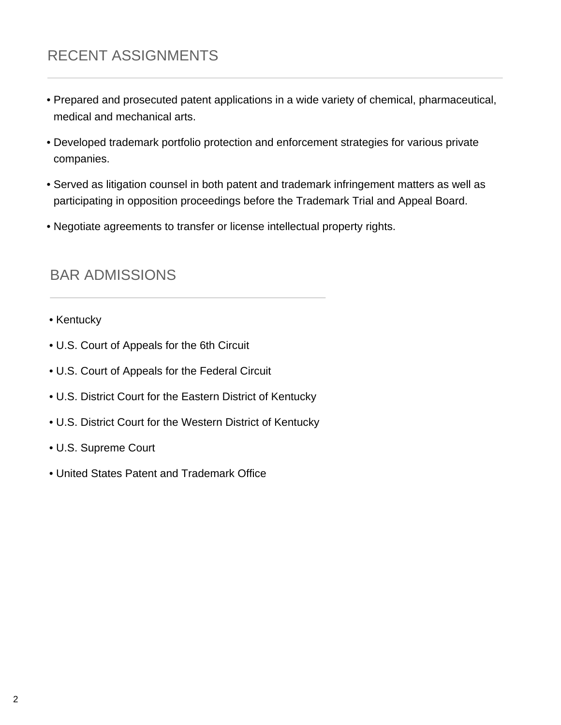# RECENT ASSIGNMENTS

- Prepared and prosecuted patent applications in a wide variety of chemical, pharmaceutical, medical and mechanical arts.
- Developed trademark portfolio protection and enforcement strategies for various private companies.
- Served as litigation counsel in both patent and trademark infringement matters as well as participating in opposition proceedings before the Trademark Trial and Appeal Board.
- Negotiate agreements to transfer or license intellectual property rights.

#### BAR ADMISSIONS

- Kentucky
- U.S. Court of Appeals for the 6th Circuit
- U.S. Court of Appeals for the Federal Circuit
- U.S. District Court for the Eastern District of Kentucky
- U.S. District Court for the Western District of Kentucky
- U.S. Supreme Court
- United States Patent and Trademark Office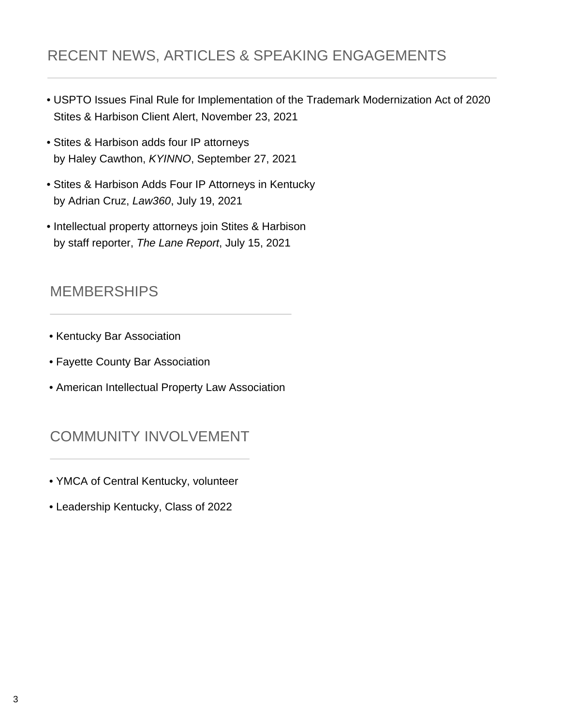# RECENT NEWS, ARTICLES & SPEAKING ENGAGEMENTS

- USPTO Issues Final Rule for Implementation of the Trademark Modernization Act of 2020 Stites & Harbison Client Alert, November 23, 2021
- Stites & Harbison adds four IP attorneys by Haley Cawthon, KYINNO, September 27, 2021
- Stites & Harbison Adds Four IP Attorneys in Kentucky by Adrian Cruz, Law360, July 19, 2021
- Intellectual property attorneys join Stites & Harbison by staff reporter, The Lane Report, July 15, 2021

#### MEMBERSHIPS

- Kentucky Bar Association
- Fayette County Bar Association
- American Intellectual Property Law Association

### COMMUNITY INVOLVEMENT

- YMCA of Central Kentucky, volunteer
- Leadership Kentucky, Class of 2022